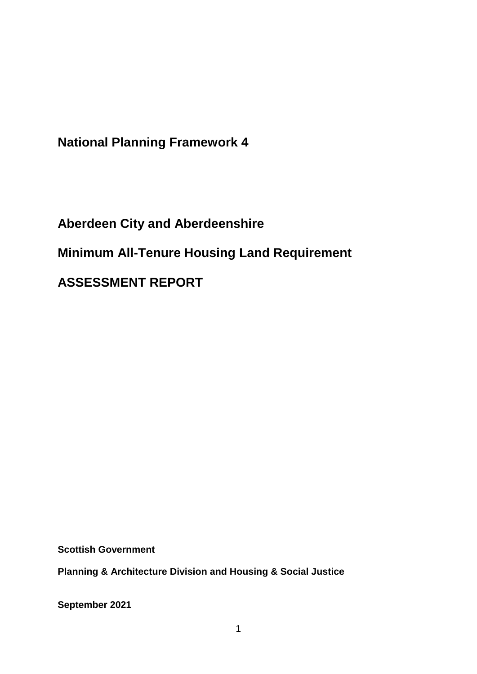**National Planning Framework 4**

**Aberdeen City and Aberdeenshire Minimum All-Tenure Housing Land Requirement ASSESSMENT REPORT**

**Scottish Government**

**Planning & Architecture Division and Housing & Social Justice** 

**September 2021**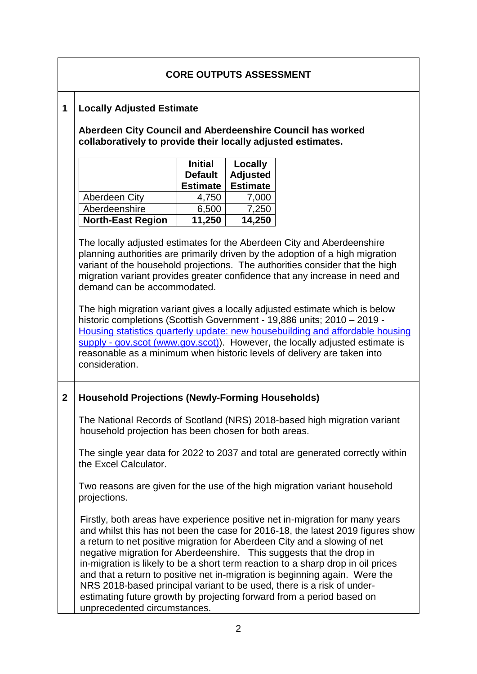# **CORE OUTPUTS ASSESSMENT**

#### **1 Locally Adjusted Estimate**

**Aberdeen City Council and Aberdeenshire Council has worked collaboratively to provide their locally adjusted estimates.** 

|                          | <b>Initial</b><br><b>Default</b><br><b>Estimate</b> | Locally<br><b>Adjusted</b><br><b>Estimate</b> |
|--------------------------|-----------------------------------------------------|-----------------------------------------------|
| Aberdeen City            | 4,750                                               | 7,000                                         |
| Aberdeenshire            | 6,500                                               | 7,250                                         |
| <b>North-East Region</b> | 11,250                                              | 14,250                                        |

The locally adjusted estimates for the Aberdeen City and Aberdeenshire planning authorities are primarily driven by the adoption of a high migration variant of the household projections. The authorities consider that the high migration variant provides greater confidence that any increase in need and demand can be accommodated.

The high migration variant gives a locally adjusted estimate which is below historic completions (Scottish Government - 19,886 units; 2010 – 2019 - [Housing statistics quarterly update: new housebuilding and affordable housing](https://www.gov.scot/publications/housing-statistics-for-scotland-new-house-building/)  supply - [gov.scot \(www.gov.scot\)\)](https://www.gov.scot/publications/housing-statistics-for-scotland-new-house-building/). However, the locally adjusted estimate is reasonable as a minimum when historic levels of delivery are taken into consideration.

#### **2 Household Projections (Newly-Forming Households)**

The National Records of Scotland (NRS) 2018-based high migration variant household projection has been chosen for both areas.

The single year data for 2022 to 2037 and total are generated correctly within the Excel Calculator.

Two reasons are given for the use of the high migration variant household projections.

Firstly, both areas have experience positive net in-migration for many years and whilst this has not been the case for 2016-18, the latest 2019 figures show a return to net positive migration for Aberdeen City and a slowing of net negative migration for Aberdeenshire. This suggests that the drop in in-migration is likely to be a short term reaction to a sharp drop in oil prices and that a return to positive net in-migration is beginning again. Were the NRS 2018-based principal variant to be used, there is a risk of underestimating future growth by projecting forward from a period based on unprecedented circumstances.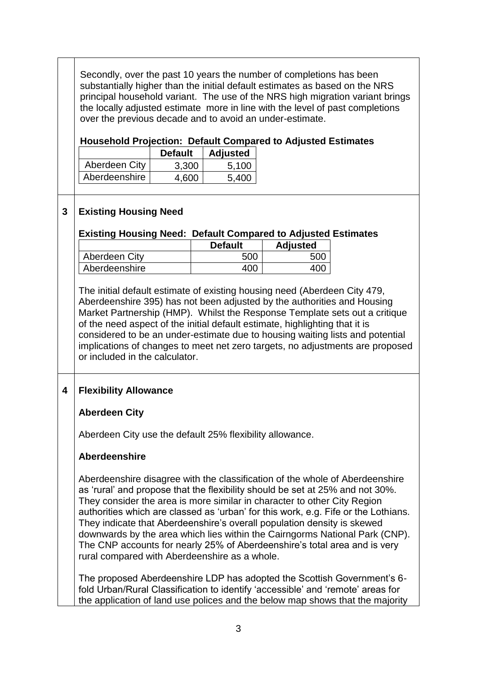Secondly, over the past 10 years the number of completions has been substantially higher than the initial default estimates as based on the NRS principal household variant. The use of the NRS high migration variant brings the locally adjusted estimate more in line with the level of past completions over the previous decade and to avoid an under-estimate.

#### **Household Projection: Default Compared to Adjusted Estimates**

|               | <b>Default</b> | <b>Adjusted</b> |
|---------------|----------------|-----------------|
| Aberdeen City | 3,300          | 5,100           |
| Aberdeenshire | 4.600          | 5.400           |

## **3 Existing Housing Need**

#### **Existing Housing Need: Default Compared to Adjusted Estimates**

|               | <b>Default</b> | <b>Adjusted</b> |
|---------------|----------------|-----------------|
| Aberdeen City | <b>500</b>     |                 |
| Aberdeenshire | ∩∩             |                 |

The initial default estimate of existing housing need (Aberdeen City 479, Aberdeenshire 395) has not been adjusted by the authorities and Housing Market Partnership (HMP). Whilst the Response Template sets out a critique of the need aspect of the initial default estimate, highlighting that it is considered to be an under-estimate due to housing waiting lists and potential implications of changes to meet net zero targets, no adjustments are proposed or included in the calculator.

## **4 Flexibility Allowance**

#### **Aberdeen City**

Aberdeen City use the default 25% flexibility allowance.

#### **Aberdeenshire**

Aberdeenshire disagree with the classification of the whole of Aberdeenshire as 'rural' and propose that the flexibility should be set at 25% and not 30%. They consider the area is more similar in character to other City Region authorities which are classed as 'urban' for this work, e.g. Fife or the Lothians. They indicate that Aberdeenshire's overall population density is skewed downwards by the area which lies within the Cairngorms National Park (CNP). The CNP accounts for nearly 25% of Aberdeenshire's total area and is very rural compared with Aberdeenshire as a whole.

The proposed Aberdeenshire LDP has adopted the Scottish Government's 6 fold Urban/Rural Classification to identify 'accessible' and 'remote' areas for the application of land use polices and the below map shows that the majority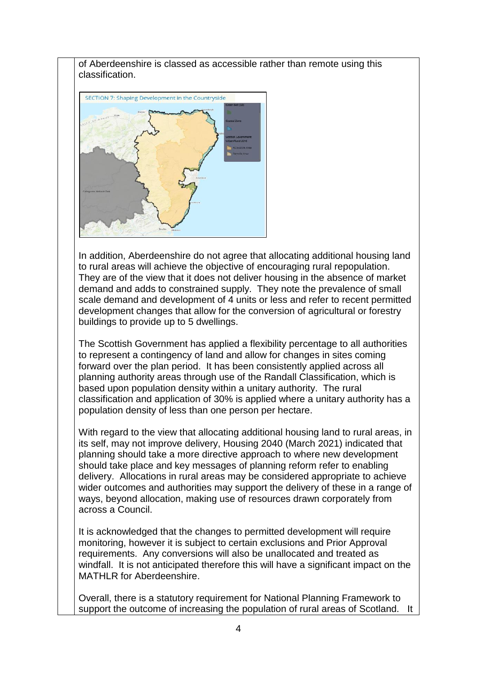of Aberdeenshire is classed as accessible rather than remote using this classification.



In addition, Aberdeenshire do not agree that allocating additional housing land to rural areas will achieve the objective of encouraging rural repopulation. They are of the view that it does not deliver housing in the absence of market demand and adds to constrained supply. They note the prevalence of small scale demand and development of 4 units or less and refer to recent permitted development changes that allow for the conversion of agricultural or forestry buildings to provide up to 5 dwellings.

The Scottish Government has applied a flexibility percentage to all authorities to represent a contingency of land and allow for changes in sites coming forward over the plan period. It has been consistently applied across all planning authority areas through use of the Randall Classification, which is based upon population density within a unitary authority. The rural classification and application of 30% is applied where a unitary authority has a population density of less than one person per hectare.

With regard to the view that allocating additional housing land to rural areas, in its self, may not improve delivery, Housing 2040 (March 2021) indicated that planning should take a more directive approach to where new development should take place and key messages of planning reform refer to enabling delivery. Allocations in rural areas may be considered appropriate to achieve wider outcomes and authorities may support the delivery of these in a range of ways, beyond allocation, making use of resources drawn corporately from across a Council.

It is acknowledged that the changes to permitted development will require monitoring, however it is subject to certain exclusions and Prior Approval requirements. Any conversions will also be unallocated and treated as windfall. It is not anticipated therefore this will have a significant impact on the MATHLR for Aberdeenshire.

Overall, there is a statutory requirement for National Planning Framework to support the outcome of increasing the population of rural areas of Scotland. It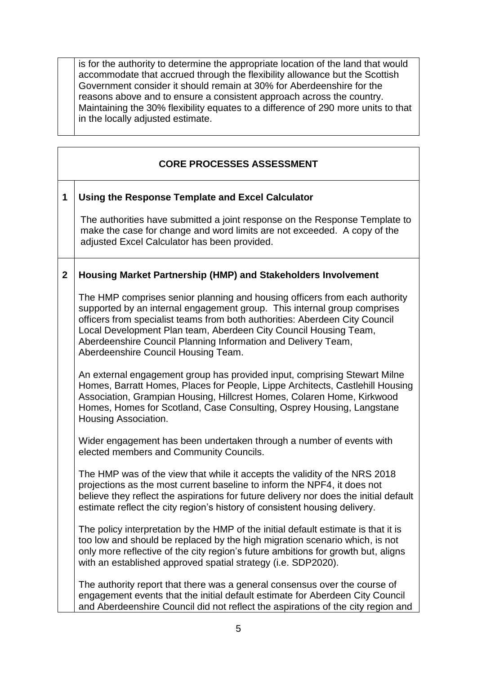is for the authority to determine the appropriate location of the land that would accommodate that accrued through the flexibility allowance but the Scottish Government consider it should remain at 30% for Aberdeenshire for the reasons above and to ensure a consistent approach across the country. Maintaining the 30% flexibility equates to a difference of 290 more units to that in the locally adjusted estimate.

# **CORE PROCESSES ASSESSMENT**

#### **1 Using the Response Template and Excel Calculator**

The authorities have submitted a joint response on the Response Template to make the case for change and word limits are not exceeded. A copy of the adjusted Excel Calculator has been provided.

#### **2 Housing Market Partnership (HMP) and Stakeholders Involvement**

The HMP comprises senior planning and housing officers from each authority supported by an internal engagement group. This internal group comprises officers from specialist teams from both authorities: Aberdeen City Council Local Development Plan team, Aberdeen City Council Housing Team, Aberdeenshire Council Planning Information and Delivery Team, Aberdeenshire Council Housing Team.

An external engagement group has provided input, comprising Stewart Milne Homes, Barratt Homes, Places for People, Lippe Architects, Castlehill Housing Association, Grampian Housing, Hillcrest Homes, Colaren Home, Kirkwood Homes, Homes for Scotland, Case Consulting, Osprey Housing, Langstane Housing Association.

Wider engagement has been undertaken through a number of events with elected members and Community Councils.

The HMP was of the view that while it accepts the validity of the NRS 2018 projections as the most current baseline to inform the NPF4, it does not believe they reflect the aspirations for future delivery nor does the initial default estimate reflect the city region's history of consistent housing delivery.

The policy interpretation by the HMP of the initial default estimate is that it is too low and should be replaced by the high migration scenario which, is not only more reflective of the city region's future ambitions for growth but, aligns with an established approved spatial strategy (i.e. SDP2020).

The authority report that there was a general consensus over the course of engagement events that the initial default estimate for Aberdeen City Council and Aberdeenshire Council did not reflect the aspirations of the city region and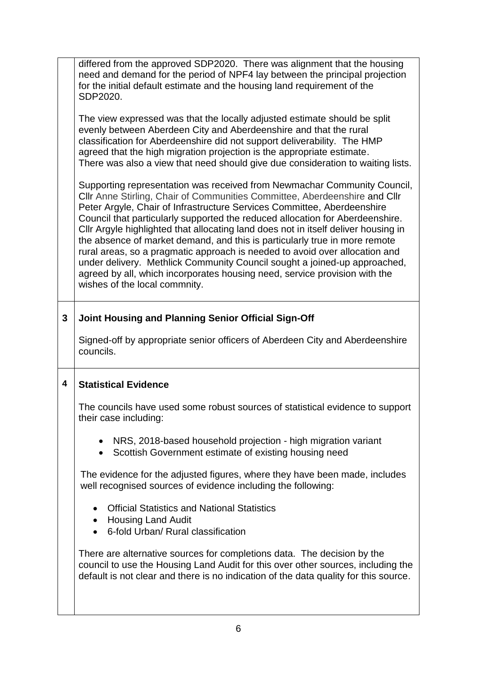|   | differed from the approved SDP2020. There was alignment that the housing<br>need and demand for the period of NPF4 lay between the principal projection<br>for the initial default estimate and the housing land requirement of the<br>SDP2020.                                                                                                                                                                                                                                                                                                                                                                                                                                                                                                                   |
|---|-------------------------------------------------------------------------------------------------------------------------------------------------------------------------------------------------------------------------------------------------------------------------------------------------------------------------------------------------------------------------------------------------------------------------------------------------------------------------------------------------------------------------------------------------------------------------------------------------------------------------------------------------------------------------------------------------------------------------------------------------------------------|
|   | The view expressed was that the locally adjusted estimate should be split<br>evenly between Aberdeen City and Aberdeenshire and that the rural<br>classification for Aberdeenshire did not support deliverability. The HMP<br>agreed that the high migration projection is the appropriate estimate.<br>There was also a view that need should give due consideration to waiting lists.                                                                                                                                                                                                                                                                                                                                                                           |
|   | Supporting representation was received from Newmachar Community Council,<br>Cllr Anne Stirling, Chair of Communities Committee, Aberdeenshire and Cllr<br>Peter Argyle, Chair of Infrastructure Services Committee, Aberdeenshire<br>Council that particularly supported the reduced allocation for Aberdeenshire.<br>CIIr Argyle highlighted that allocating land does not in itself deliver housing in<br>the absence of market demand, and this is particularly true in more remote<br>rural areas, so a pragmatic approach is needed to avoid over allocation and<br>under delivery. Methlick Community Council sought a joined-up approached,<br>agreed by all, which incorporates housing need, service provision with the<br>wishes of the local commnity. |
| 3 | Joint Housing and Planning Senior Official Sign-Off                                                                                                                                                                                                                                                                                                                                                                                                                                                                                                                                                                                                                                                                                                               |
|   | Signed-off by appropriate senior officers of Aberdeen City and Aberdeenshire<br>councils.                                                                                                                                                                                                                                                                                                                                                                                                                                                                                                                                                                                                                                                                         |
| 4 | <b>Statistical Evidence</b>                                                                                                                                                                                                                                                                                                                                                                                                                                                                                                                                                                                                                                                                                                                                       |
|   | The councils have used some robust sources of statistical evidence to support<br>their case including:                                                                                                                                                                                                                                                                                                                                                                                                                                                                                                                                                                                                                                                            |
|   | NRS, 2018-based household projection - high migration variant<br>Scottish Government estimate of existing housing need<br>$\bullet$                                                                                                                                                                                                                                                                                                                                                                                                                                                                                                                                                                                                                               |
|   | The evidence for the adjusted figures, where they have been made, includes<br>well recognised sources of evidence including the following:                                                                                                                                                                                                                                                                                                                                                                                                                                                                                                                                                                                                                        |
|   | <b>Official Statistics and National Statistics</b><br>$\bullet$<br>• Housing Land Audit<br>6-fold Urban/ Rural classification                                                                                                                                                                                                                                                                                                                                                                                                                                                                                                                                                                                                                                     |
|   | There are alternative sources for completions data. The decision by the<br>council to use the Housing Land Audit for this over other sources, including the<br>default is not clear and there is no indication of the data quality for this source.                                                                                                                                                                                                                                                                                                                                                                                                                                                                                                               |
|   |                                                                                                                                                                                                                                                                                                                                                                                                                                                                                                                                                                                                                                                                                                                                                                   |